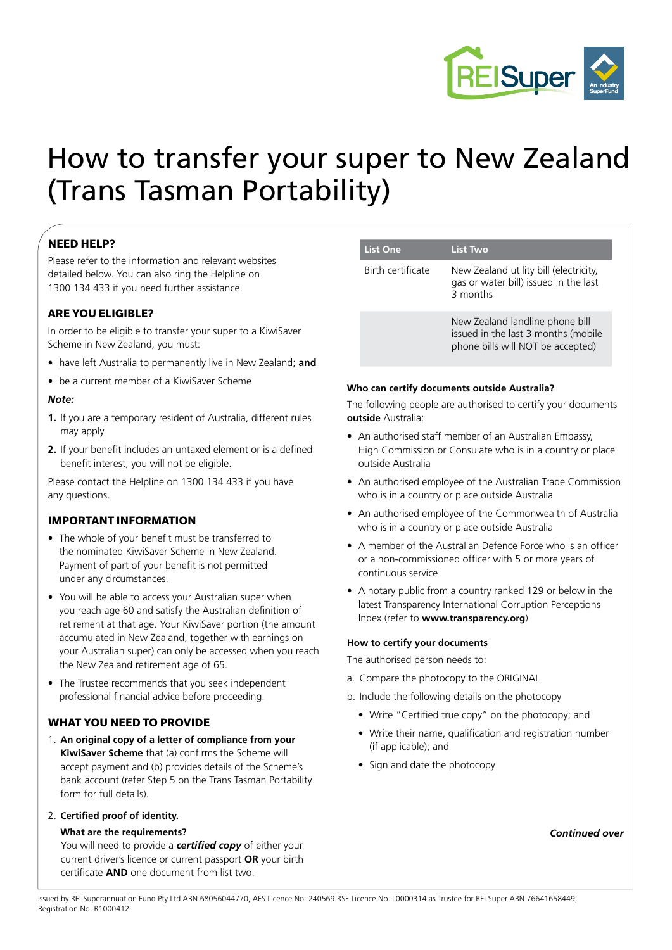

# How to transfer your super to New Zealand (Trans Tasman Portability)

### **NEED HELP?**

Please refer to the information and relevant websites detailed below. You can also ring the Helpline on 1300 134 433 if you need further assistance.

#### **ARE YOU ELIGIBLE?**

In order to be eligible to transfer your super to a KiwiSaver Scheme in New Zealand, you must:

- have left Australia to permanently live in New Zealand; **and**
- be a current member of a KiwiSaver Scheme

#### *Note:*

- **1.** If you are a temporary resident of Australia, different rules may apply.
- **2.** If your benefit includes an untaxed element or is a defined benefit interest, you will not be eligible.

Please contact the Helpline on 1300 134 433 if you have any questions.

#### **IMPORTANT INFORMATION**

- The whole of your benefit must be transferred to the nominated KiwiSaver Scheme in New Zealand. Payment of part of your benefit is not permitted under any circumstances.
- You will be able to access your Australian super when you reach age 60 and satisfy the Australian definition of retirement at that age. Your KiwiSaver portion (the amount accumulated in New Zealand, together with earnings on your Australian super) can only be accessed when you reach the New Zealand retirement age of 65.
- The Trustee recommends that you seek independent professional financial advice before proceeding.

#### **WHAT YOU NEED TO PROVIDE**

1. **An original copy of a letter of compliance from your KiwiSaver Scheme** that (a) confirms the Scheme will accept payment and (b) provides details of the Scheme's bank account (refer Step 5 on the Trans Tasman Portability form for full details).

#### 2. **Certified proof of identity.**

#### **What are the requirements?**

You will need to provide a *certified copy* of either your current driver's licence or current passport **OR** your birth certificate **AND** one document from list two.

#### **List One List Two**

Birth certificate New Zealand utility bill (electricity, gas or water bill) issued in the last 3 months

> New Zealand landline phone bill issued in the last 3 months (mobile phone bills will NOT be accepted)

#### **Who can certify documents outside Australia?**

The following people are authorised to certify your documents **outside** Australia:

- An authorised staff member of an Australian Embassy, High Commission or Consulate who is in a country or place outside Australia
- An authorised employee of the Australian Trade Commission who is in a country or place outside Australia
- An authorised employee of the Commonwealth of Australia who is in a country or place outside Australia
- A member of the Australian Defence Force who is an officer or a non-commissioned officer with 5 or more years of continuous service
- A notary public from a country ranked 129 or below in the latest Transparency International Corruption Perceptions Index (refer to **www.transparency.org**)

#### **How to certify your documents**

The authorised person needs to:

- a. Compare the photocopy to the ORIGINAL
- b. Include the following details on the photocopy
	- Write "Certified true copy" on the photocopy; and
	- Write their name, qualification and registration number (if applicable); and
	- Sign and date the photocopy

*Continued over*

Issued by REI Superannuation Fund Pty Ltd ABN 68056044770, AFS Licence No. 240569 RSE Licence No. L0000314 as Trustee for REI Super ABN 76641658449, Registration No. R1000412.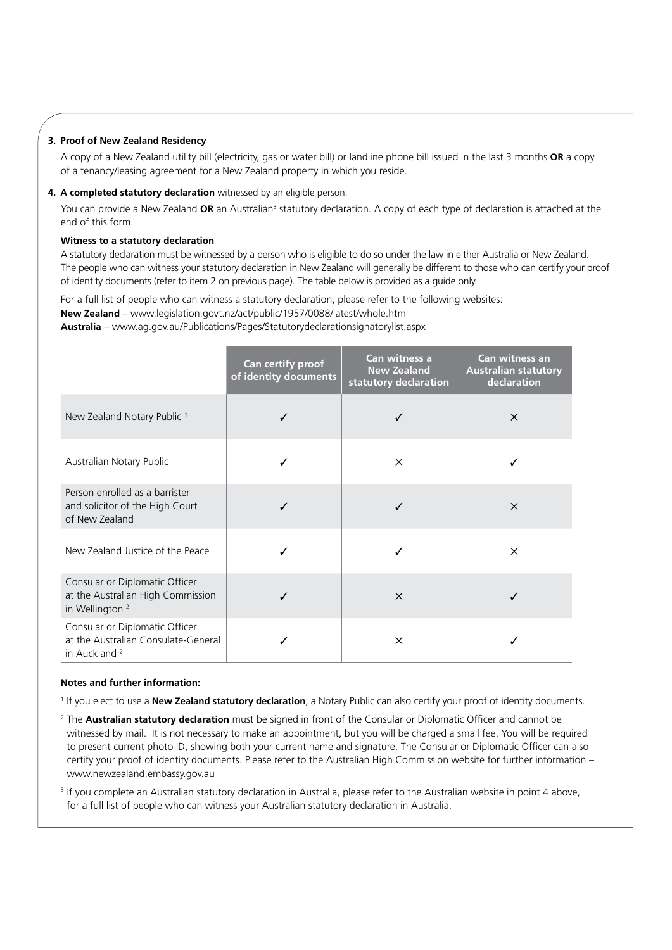#### **3. Proof of New Zealand Residency**

A copy of a New Zealand utility bill (electricity, gas or water bill) or landline phone bill issued in the last 3 months **OR** a copy of a tenancy/leasing agreement for a New Zealand property in which you reside.

#### **4. A completed statutory declaration** witnessed by an eligible person.

You can provide a New Zealand **OR** an Australian<sup>3</sup> statutory declaration. A copy of each type of declaration is attached at the end of this form.

#### **Witness to a statutory declaration**

A statutory declaration must be witnessed by a person who is eligible to do so under the law in either Australia or New Zealand. The people who can witness your statutory declaration in New Zealand will generally be different to those who can certify your proof of identity documents (refer to item 2 on previous page). The table below is provided as a guide only.

For a full list of people who can witness a statutory declaration, please refer to the following websites: **New Zealand** – www.legislation.govt.nz/act/public/1957/0088/latest/whole.html

**Australia** – www.ag.gov.au/Publications/Pages/Statutorydeclarationsignatorylist.aspx

|                                                                                                   | Can certify proof<br>of identity documents | Can witness a<br><b>New Zealand</b><br>statutory declaration | <b>Can witness an</b><br><b>Australian statutory</b><br>declaration |
|---------------------------------------------------------------------------------------------------|--------------------------------------------|--------------------------------------------------------------|---------------------------------------------------------------------|
| New Zealand Notary Public <sup>1</sup>                                                            | ✓                                          | ✓                                                            | $\times$                                                            |
| Australian Notary Public                                                                          |                                            | $\times$                                                     |                                                                     |
| Person enrolled as a barrister<br>and solicitor of the High Court<br>of New Zealand               | J                                          |                                                              | $\times$                                                            |
| New Zealand Justice of the Peace                                                                  |                                            |                                                              | $\times$                                                            |
| Consular or Diplomatic Officer<br>at the Australian High Commission<br>in Wellington <sup>2</sup> |                                            | $\times$                                                     |                                                                     |
| Consular or Diplomatic Officer<br>at the Australian Consulate-General<br>in Auckland <sup>2</sup> |                                            | $\times$                                                     |                                                                     |

#### **Notes and further information:**

<sup>1</sup> If you elect to use a **New Zealand statutory declaration**, a Notary Public can also certify your proof of identity documents.

<sup>2</sup> The **Australian statutory declaration** must be signed in front of the Consular or Diplomatic Officer and cannot be witnessed by mail. It is not necessary to make an appointment, but you will be charged a small fee. You will be required to present current photo ID, showing both your current name and signature. The Consular or Diplomatic Officer can also certify your proof of identity documents. Please refer to the Australian High Commission website for further information – www.newzealand.embassy.gov.au

<sup>3</sup> If you complete an Australian statutory declaration in Australia, please refer to the Australian website in point 4 above, for a full list of people who can witness your Australian statutory declaration in Australia.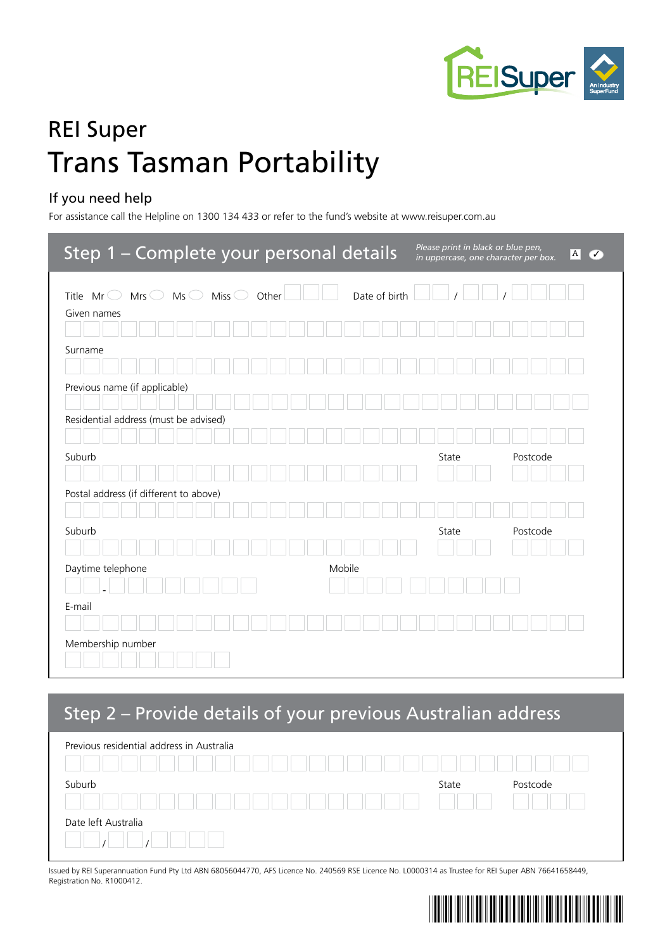

# REI Super Trans Tasman Portability

### If you need help

For assistance call the Helpline on 1300 134 433 or refer to the fund's website at www.reisuper.com.au

| Step 1 - Complete your personal details                                                      | Please print in black or blue pen,<br> A <br>び<br>in uppercase, one character per box. |
|----------------------------------------------------------------------------------------------|----------------------------------------------------------------------------------------|
| Date of birth<br>Miss $\bigcirc$<br>Other<br>Mrs $\bigcirc$<br>Ms<br>Title Mr<br>Given names |                                                                                        |
| Surname                                                                                      |                                                                                        |
| Previous name (if applicable)                                                                |                                                                                        |
| Residential address (must be advised)                                                        |                                                                                        |
| Suburb                                                                                       | State<br>Postcode                                                                      |
| Postal address (if different to above)<br>Suburb                                             | Postcode<br>State                                                                      |
| Daytime telephone<br>Mobile                                                                  |                                                                                        |
| E-mail                                                                                       |                                                                                        |
| Membership number                                                                            |                                                                                        |

### Step 2 – Provide details of your previous Australian address

| Previous residential address in Australia |       |          |
|-------------------------------------------|-------|----------|
| Suburb                                    | State | Postcode |
| Date left Australia                       |       |          |

Issued by REI Superannuation Fund Pty Ltd ABN 68056044770, AFS Licence No. 240569 RSE Licence No. L0000314 as Trustee for REI Super ABN 76641658449, Registration No. R1000412.

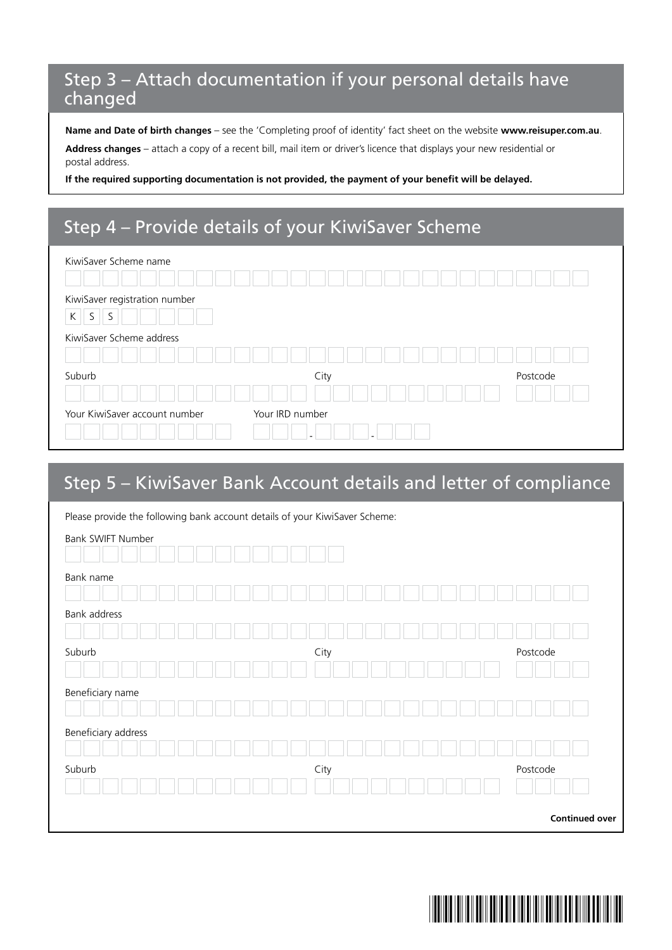### Step 3 – Attach documentation if your personal details have changed

**Name and Date of birth changes** – see the 'Completing proof of identity' fact sheet on the website **www.reisuper.com.au**.

**Address changes** – attach a copy of a recent bill, mail item or driver's licence that displays your new residential or postal address.

**If the required supporting documentation is not provided, the payment of your benefit will be delayed.**

### Step 4 – Provide details of your KiwiSaver Scheme

| KiwiSaver Scheme name                         |                 |  |          |  |
|-----------------------------------------------|-----------------|--|----------|--|
| KiwiSaver registration number<br>S.<br>S<br>K |                 |  |          |  |
| KiwiSaver Scheme address                      |                 |  |          |  |
|                                               |                 |  |          |  |
| Suburb                                        | City            |  | Postcode |  |
|                                               |                 |  |          |  |
| Your KiwiSaver account number                 | Your IRD number |  |          |  |

### Step 5 – KiwiSaver Bank Account details and letter of compliance

| Please provide the following bank account details of your KiwiSaver Scheme: |      |                       |
|-----------------------------------------------------------------------------|------|-----------------------|
| Bank SWIFT Number                                                           |      |                       |
| Bank name                                                                   |      |                       |
| Bank address                                                                |      |                       |
| Suburb                                                                      | City | Postcode              |
| Beneficiary name                                                            |      |                       |
| Beneficiary address                                                         |      |                       |
| Suburb                                                                      | City | Postcode              |
|                                                                             |      | <b>Continued over</b> |

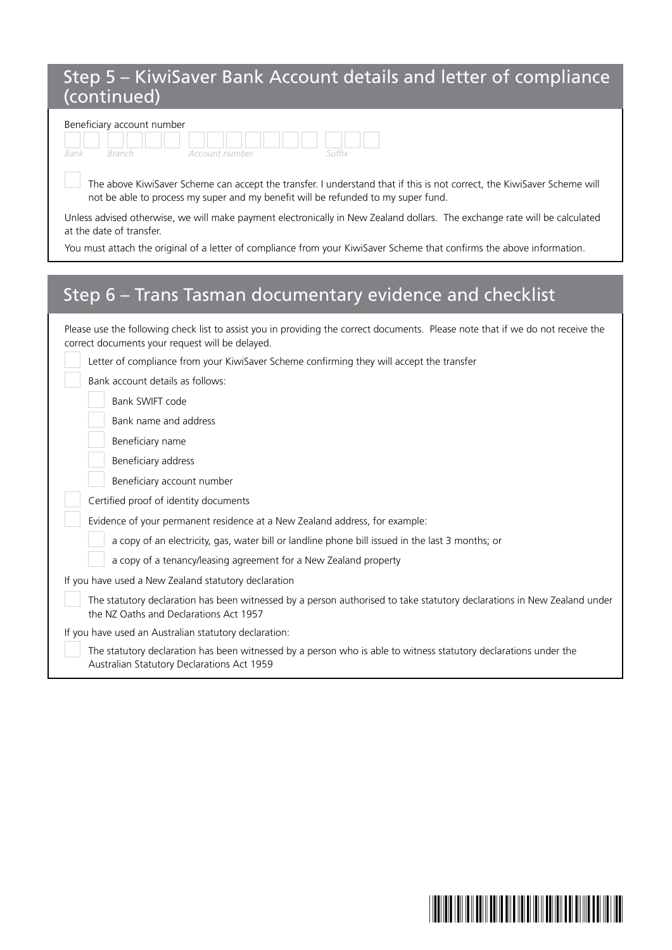### Step 5 – KiwiSaver Bank Account details and letter of compliance (continued)

| Beneficiary account number |  |                |  |  |  |
|----------------------------|--|----------------|--|--|--|
|                            |  |                |  |  |  |
|                            |  | Account number |  |  |  |

 The above KiwiSaver Scheme can accept the transfer. I understand that if this is not correct, the KiwiSaver Scheme will not be able to process my super and my benefit will be refunded to my super fund.

Unless advised otherwise, we will make payment electronically in New Zealand dollars. The exchange rate will be calculated at the date of transfer.

You must attach the original of a letter of compliance from your KiwiSaver Scheme that confirms the above information.

## Step 6 – Trans Tasman documentary evidence and checklist

| Please use the following check list to assist you in providing the correct documents. Please note that if we do not receive the<br>correct documents your request will be delayed. |
|------------------------------------------------------------------------------------------------------------------------------------------------------------------------------------|
| Letter of compliance from your KiwiSaver Scheme confirming they will accept the transfer                                                                                           |
| Bank account details as follows:                                                                                                                                                   |
| Bank SWIFT code                                                                                                                                                                    |
| Bank name and address                                                                                                                                                              |
| Beneficiary name                                                                                                                                                                   |
| Beneficiary address                                                                                                                                                                |
| Beneficiary account number                                                                                                                                                         |
| Certified proof of identity documents                                                                                                                                              |
| Evidence of your permanent residence at a New Zealand address, for example:                                                                                                        |
| a copy of an electricity, gas, water bill or landline phone bill issued in the last 3 months; or                                                                                   |
| a copy of a tenancy/leasing agreement for a New Zealand property                                                                                                                   |
| If you have used a New Zealand statutory declaration                                                                                                                               |
| The statutory declaration has been witnessed by a person authorised to take statutory declarations in New Zealand under<br>the NZ Oaths and Declarations Act 1957                  |
| If you have used an Australian statutory declaration:                                                                                                                              |
| The statutory declaration has been witnessed by a person who is able to witness statutory declarations under the<br>Australian Statutory Declarations Act 1959                     |

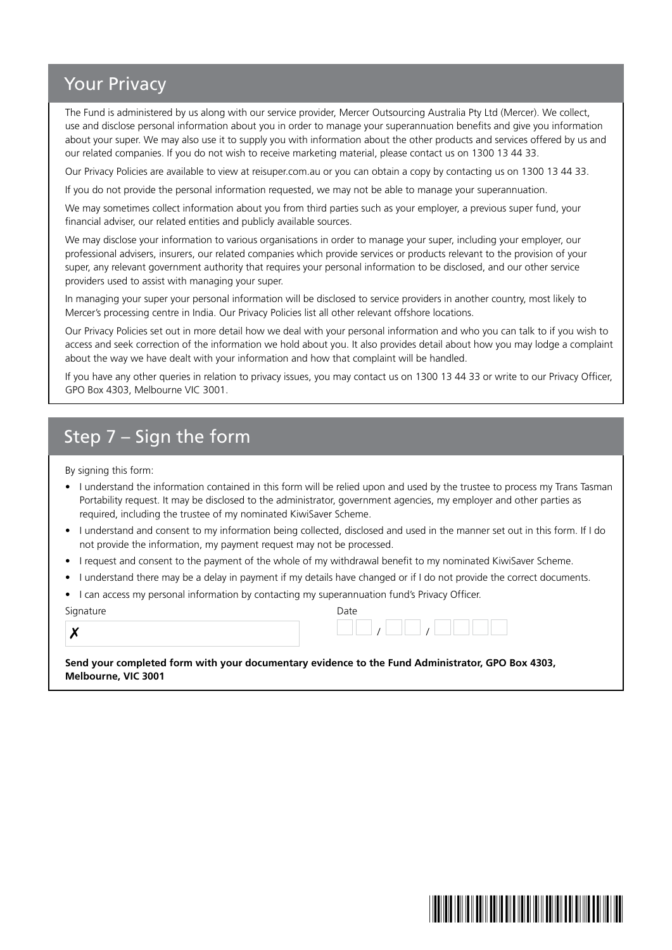### Your Privacy

The Fund is administered by us along with our service provider, Mercer Outsourcing Australia Pty Ltd (Mercer). We collect, use and disclose personal information about you in order to manage your superannuation benefits and give you information about your super. We may also use it to supply you with information about the other products and services offered by us and our related companies. If you do not wish to receive marketing material, please contact us on 1300 13 44 33.

Our Privacy Policies are available to view at reisuper.com.au or you can obtain a copy by contacting us on 1300 13 44 33.

If you do not provide the personal information requested, we may not be able to manage your superannuation.

We may sometimes collect information about you from third parties such as your employer, a previous super fund, your financial adviser, our related entities and publicly available sources.

We may disclose your information to various organisations in order to manage your super, including your employer, our professional advisers, insurers, our related companies which provide services or products relevant to the provision of your super, any relevant government authority that requires your personal information to be disclosed, and our other service providers used to assist with managing your super.

In managing your super your personal information will be disclosed to service providers in another country, most likely to Mercer's processing centre in India. Our Privacy Policies list all other relevant offshore locations.

Our Privacy Policies set out in more detail how we deal with your personal information and who you can talk to if you wish to access and seek correction of the information we hold about you. It also provides detail about how you may lodge a complaint about the way we have dealt with your information and how that complaint will be handled.

If you have any other queries in relation to privacy issues, you may contact us on 1300 13 44 33 or write to our Privacy Officer, GPO Box 4303, Melbourne VIC 3001.

## Step 7 – Sign the form

By signing this form:

- I understand the information contained in this form will be relied upon and used by the trustee to process my Trans Tasman Portability request. It may be disclosed to the administrator, government agencies, my employer and other parties as required, including the trustee of my nominated KiwiSaver Scheme.
- I understand and consent to my information being collected, disclosed and used in the manner set out in this form. If I do not provide the information, my payment request may not be processed.
- I request and consent to the payment of the whole of my withdrawal benefit to my nominated KiwiSaver Scheme.
- I understand there may be a delay in payment if my details have changed or if I do not provide the correct documents.
- I can access my personal information by contacting my superannuation fund's Privacy Officer.

Signature Date

| ł<br>I<br>I<br>I |  |
|------------------|--|

| iynature<br>ັ | Date |  |  |
|---------------|------|--|--|
| v<br>Λ        |      |  |  |

**Send your completed form with your documentary evidence to the Fund Administrator, GPO Box 4303, Melbourne, VIC 3001**

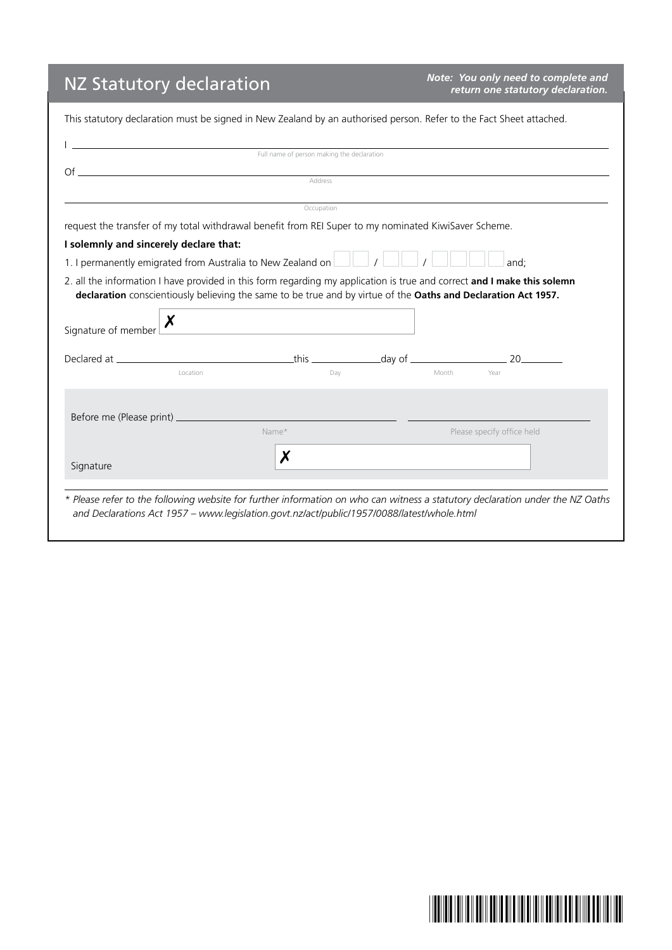# NZ Statutory declaration *Note: You only need to complete and*

*Note: You only need to complete and*<br>*return one statutory declaration.* 

| Full name of person making the declaration<br>Address |                          | $\mathsf{C}\mathsf{f}$ and $\mathsf{C}\mathsf{f}$ and $\mathsf{C}\mathsf{f}$ and $\mathsf{C}\mathsf{f}$ and $\mathsf{C}\mathsf{f}$ and $\mathsf{C}\mathsf{f}$ and $\mathsf{C}\mathsf{f}$ and $\mathsf{C}\mathsf{f}$ and $\mathsf{C}\mathsf{f}$ and $\mathsf{C}\mathsf{f}$ and $\mathsf{C}\mathsf{f}$ and $\mathsf{C}\mathsf{f}$ and $\mathsf{$                                                                                                                                                            |
|-------------------------------------------------------|--------------------------|-----------------------------------------------------------------------------------------------------------------------------------------------------------------------------------------------------------------------------------------------------------------------------------------------------------------------------------------------------------------------------------------------------------------------------------------------------------------------------------------------------------|
|                                                       |                          |                                                                                                                                                                                                                                                                                                                                                                                                                                                                                                           |
|                                                       |                          |                                                                                                                                                                                                                                                                                                                                                                                                                                                                                                           |
|                                                       |                          |                                                                                                                                                                                                                                                                                                                                                                                                                                                                                                           |
|                                                       |                          |                                                                                                                                                                                                                                                                                                                                                                                                                                                                                                           |
|                                                       |                          |                                                                                                                                                                                                                                                                                                                                                                                                                                                                                                           |
|                                                       |                          |                                                                                                                                                                                                                                                                                                                                                                                                                                                                                                           |
|                                                       |                          | and;                                                                                                                                                                                                                                                                                                                                                                                                                                                                                                      |
|                                                       |                          |                                                                                                                                                                                                                                                                                                                                                                                                                                                                                                           |
|                                                       |                          |                                                                                                                                                                                                                                                                                                                                                                                                                                                                                                           |
|                                                       |                          |                                                                                                                                                                                                                                                                                                                                                                                                                                                                                                           |
|                                                       |                          |                                                                                                                                                                                                                                                                                                                                                                                                                                                                                                           |
|                                                       |                          |                                                                                                                                                                                                                                                                                                                                                                                                                                                                                                           |
|                                                       |                          |                                                                                                                                                                                                                                                                                                                                                                                                                                                                                                           |
| Dav                                                   |                          | Year                                                                                                                                                                                                                                                                                                                                                                                                                                                                                                      |
|                                                       |                          |                                                                                                                                                                                                                                                                                                                                                                                                                                                                                                           |
|                                                       |                          |                                                                                                                                                                                                                                                                                                                                                                                                                                                                                                           |
|                                                       |                          |                                                                                                                                                                                                                                                                                                                                                                                                                                                                                                           |
|                                                       |                          | Please specify office held                                                                                                                                                                                                                                                                                                                                                                                                                                                                                |
|                                                       |                          |                                                                                                                                                                                                                                                                                                                                                                                                                                                                                                           |
|                                                       |                          |                                                                                                                                                                                                                                                                                                                                                                                                                                                                                                           |
|                                                       | Occupation<br>Name*<br>Х | request the transfer of my total withdrawal benefit from REI Super to my nominated KiwiSaver Scheme.<br>1. I permanently emigrated from Australia to New Zealand on $\Box$ / $\Box$ / $\Box$ /<br>2. all the information I have provided in this form regarding my application is true and correct and I make this solemn<br>declaration conscientiously believing the same to be true and by virtue of the Oaths and Declaration Act 1957.<br><u> 1989 - Johann Barbara, martin amerikan ba</u><br>Month |